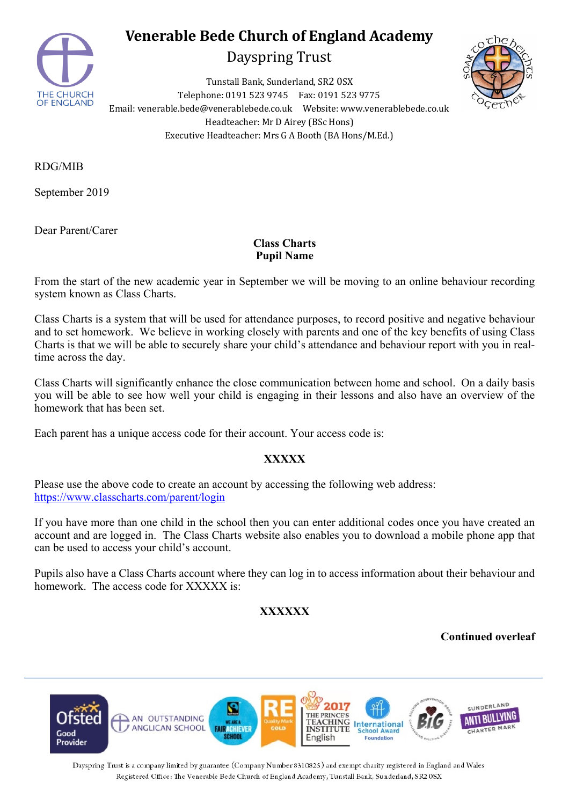

# **Venerable Bede Church of England Academy**

Dayspring Trust

Tunstall Bank, Sunderland, SR2 0SX Telephone: 0191 523 9745 Fax: 0191 523 9775 Email: venerable.bede@venerablebede.co.uk Website: www.venerablebede.co.uk Headteacher: Mr D Airey (BSc Hons) Executive Headteacher: Mrs G A Booth (BA Hons/M.Ed.)



RDG/MIB

September 2019

Dear Parent/Carer

### **Class Charts Pupil Name**

From the start of the new academic year in September we will be moving to an online behaviour recording system known as Class Charts.

Class Charts is a system that will be used for attendance purposes, to record positive and negative behaviour and to set homework. We believe in working closely with parents and one of the key benefits of using Class Charts is that we will be able to securely share your child's attendance and behaviour report with you in realtime across the day.

Class Charts will significantly enhance the close communication between home and school. On a daily basis you will be able to see how well your child is engaging in their lessons and also have an overview of the homework that has been set.

Each parent has a unique access code for their account. Your access code is:

### **XXXXX**

Please use the above code to create an account by accessing the following web address: https://www.classcharts.com/parent/login

If you have more than one child in the school then you can enter additional codes once you have created an account and are logged in. The Class Charts website also enables you to download a mobile phone app that can be used to access your child's account.

Pupils also have a Class Charts account where they can log in to access information about their behaviour and homework. The access code for XXXXX is:

## **XXXXXX**

#### **Continued overleaf**



Dayspring Trust is a company limited by guarantee (Company Number 8310825) and exempt charity registered in England and Wales Registered Office: The Venerable Bede Church of England Academy, Tunstall Bank, Sunderland, SR2 OSX